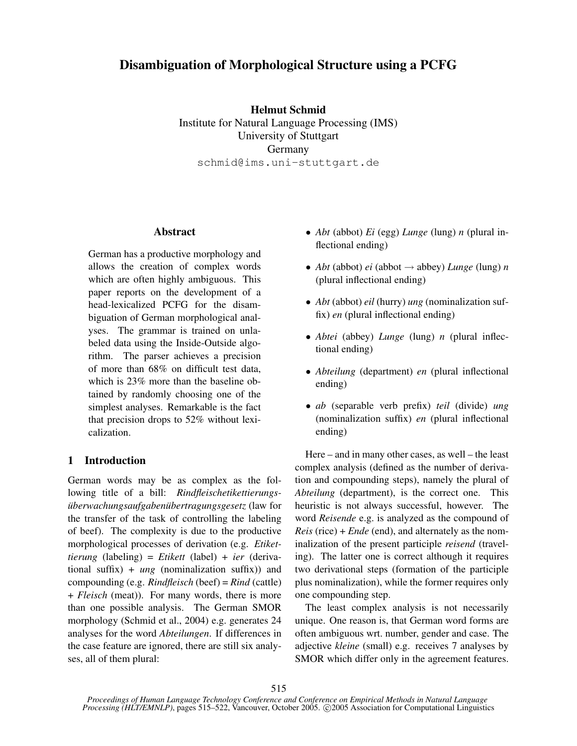# Disambiguation of Morphological Structure using a PCFG

Helmut Schmid Institute for Natural Language Processing (IMS) University of Stuttgart Germany schmid@ims.uni-stuttgart.de

### Abstract

German has a productive morphology and allows the creation of complex words which are often highly ambiguous. This paper reports on the development of a head-lexicalized PCFG for the disambiguation of German morphological analyses. The grammar is trained on unlabeled data using the Inside-Outside algorithm. The parser achieves a precision of more than 68% on difficult test data, which is 23% more than the baseline obtained by randomly choosing one of the simplest analyses. Remarkable is the fact that precision drops to 52% without lexicalization.

## 1 Introduction

German words may be as complex as the following title of a bill: *Rindfleischetikettierungsüberwachungsaufgabenübertragungsgesetz* (law for the transfer of the task of controlling the labeling of beef). The complexity is due to the productive morphological processes of derivation (e.g. *Etikettierung* (labeling) = *Etikett* (label) + *ier* (derivational suffix) + *ung* (nominalization suffix)) and compounding (e.g. *Rindfleisch* (beef) = *Rind* (cattle) + *Fleisch* (meat)). For many words, there is more than one possible analysis. The German SMOR morphology (Schmid et al., 2004) e.g. generates 24 analyses for the word *Abteilungen*. If differences in the case feature are ignored, there are still six analyses, all of them plural:

- *Abt* (abbot) *Ei* (egg) *Lunge* (lung) *n* (plural inflectional ending)
- *Abt* (abbot) *ei* (abbot  $\rightarrow$  abbey) *Lunge* (lung) *n* (plural inflectional ending)
- *Abt* (abbot) *eil* (hurry) *ung* (nominalization suffix) *en* (plural inflectional ending)
- *Abtei* (abbey) *Lunge* (lung) *n* (plural inflectional ending)
- *Abteilung* (department) *en* (plural inflectional ending)
- *ab* (separable verb prefix) *teil* (divide) *ung* (nominalization suffix) *en* (plural inflectional ending)

Here – and in many other cases, as well – the least complex analysis (defined as the number of derivation and compounding steps), namely the plural of *Abteilung* (department), is the correct one. This heuristic is not always successful, however. The word *Reisende* e.g. is analyzed as the compound of *Reis* (rice) + *Ende* (end), and alternately as the nominalization of the present participle *reisend* (traveling). The latter one is correct although it requires two derivational steps (formation of the participle plus nominalization), while the former requires only one compounding step.

The least complex analysis is not necessarily unique. One reason is, that German word forms are often ambiguous wrt. number, gender and case. The adjective *kleine* (small) e.g. receives 7 analyses by SMOR which differ only in the agreement features.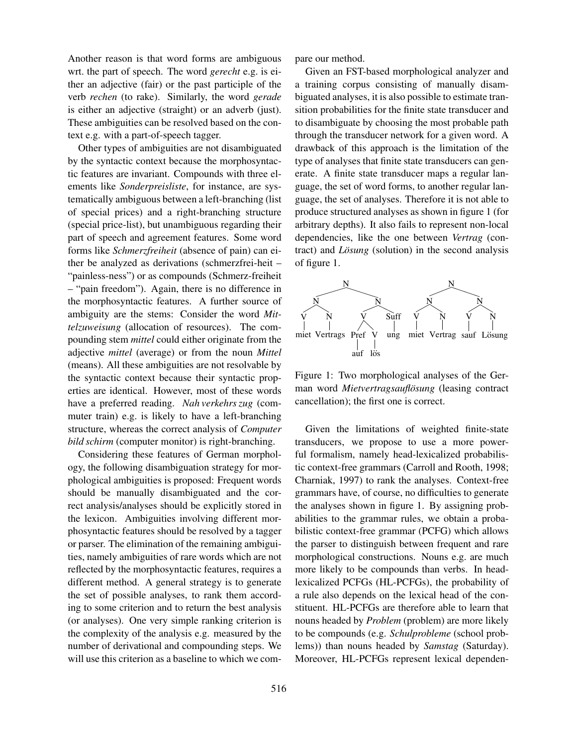Another reason is that word forms are ambiguous wrt. the part of speech. The word *gerecht* e.g. is either an adjective (fair) or the past participle of the verb *rechen* (to rake). Similarly, the word *gerade* is either an adjective (straight) or an adverb (just). These ambiguities can be resolved based on the context e.g. with a part-of-speech tagger.

Other types of ambiguities are not disambiguated by the syntactic context because the morphosyntactic features are invariant. Compounds with three elements like *Sonderpreisliste*, for instance, are systematically ambiguous between a left-branching (list of special prices) and a right-branching structure (special price-list), but unambiguous regarding their part of speech and agreement features. Some word forms like *Schmerzfreiheit* (absence of pain) can either be analyzed as derivations (schmerzfrei-heit – "painless-ness") or as compounds (Schmerz-freiheit – "pain freedom"). Again, there is no difference in the morphosyntactic features. A further source of ambiguity are the stems: Consider the word *Mittelzuweisung* (allocation of resources). The compounding stem *mittel* could either originate from the adjective *mittel* (average) or from the noun *Mittel* (means). All these ambiguities are not resolvable by the syntactic context because their syntactic properties are identical. However, most of these words have a preferred reading. *Nah verkehrs zug* (commuter train) e.g. is likely to have a left-branching structure, whereas the correct analysis of *Computer bild schirm* (computer monitor) is right-branching.

Considering these features of German morphology, the following disambiguation strategy for morphological ambiguities is proposed: Frequent words should be manually disambiguated and the correct analysis/analyses should be explicitly stored in the lexicon. Ambiguities involving different morphosyntactic features should be resolved by a tagger or parser. The elimination of the remaining ambiguities, namely ambiguities of rare words which are not reflected by the morphosyntactic features, requires a different method. A general strategy is to generate the set of possible analyses, to rank them according to some criterion and to return the best analysis (or analyses). One very simple ranking criterion is the complexity of the analysis e.g. measured by the number of derivational and compounding steps. We will use this criterion as a baseline to which we compare our method.

Given an FST-based morphological analyzer and a training corpus consisting of manually disambiguated analyses, it is also possible to estimate transition probabilities for the finite state transducer and to disambiguate by choosing the most probable path through the transducer network for a given word. A drawback of this approach is the limitation of the type of analyses that finite state transducers can generate. A finite state transducer maps a regular language, the set of word forms, to another regular language, the set of analyses. Therefore it is not able to produce structured analyses as shown in figure 1 (for arbitrary depths). It also fails to represent non-local dependencies, like the one between *Vertrag* (contract) and *Lösung* (solution) in the second analysis of figure 1.



Figure 1: Two morphological analyses of the German word *Mietvertragsauflösung* (leasing contract cancellation); the first one is correct.

Given the limitations of weighted finite-state transducers, we propose to use a more powerful formalism, namely head-lexicalized probabilistic context-free grammars (Carroll and Rooth, 1998; Charniak, 1997) to rank the analyses. Context-free grammars have, of course, no difficulties to generate the analyses shown in figure 1. By assigning probabilities to the grammar rules, we obtain a probabilistic context-free grammar (PCFG) which allows the parser to distinguish between frequent and rare morphological constructions. Nouns e.g. are much more likely to be compounds than verbs. In headlexicalized PCFGs (HL-PCFGs), the probability of a rule also depends on the lexical head of the constituent. HL-PCFGs are therefore able to learn that nouns headed by *Problem* (problem) are more likely to be compounds (e.g. *Schulprobleme* (school problems)) than nouns headed by *Samstag* (Saturday). Moreover, HL-PCFGs represent lexical dependen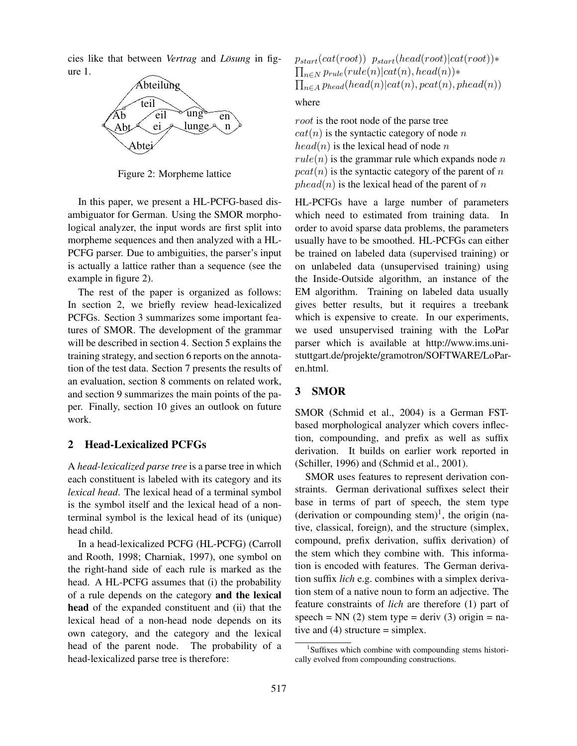cies like that between *Vertrag* and *Lösung* in figure 1.



Figure 2: Morpheme lattice

In this paper, we present a HL-PCFG-based disambiguator for German. Using the SMOR morphological analyzer, the input words are first split into morpheme sequences and then analyzed with a HL-PCFG parser. Due to ambiguities, the parser's input is actually a lattice rather than a sequence (see the example in figure 2).

The rest of the paper is organized as follows: In section 2, we briefly review head-lexicalized PCFGs. Section 3 summarizes some important features of SMOR. The development of the grammar will be described in section 4. Section 5 explains the training strategy, and section 6 reports on the annotation of the test data. Section 7 presents the results of an evaluation, section 8 comments on related work, and section 9 summarizes the main points of the paper. Finally, section 10 gives an outlook on future work.

#### 2 Head-Lexicalized PCFGs

A *head-lexicalized parse tree* is a parse tree in which each constituent is labeled with its category and its *lexical head*. The lexical head of a terminal symbol is the symbol itself and the lexical head of a nonterminal symbol is the lexical head of its (unique) head child.

In a head-lexicalized PCFG (HL-PCFG) (Carroll and Rooth, 1998; Charniak, 1997), one symbol on the right-hand side of each rule is marked as the head. A HL-PCFG assumes that (i) the probability of a rule depends on the category and the lexical head of the expanded constituent and (ii) that the lexical head of a non-head node depends on its own category, and the category and the lexical head of the parent node. The probability of a head-lexicalized parse tree is therefore:

$$
p_{start}(cat(root)) p_{start}(head(root)|cat(root)) *
$$
  

$$
\prod_{n \in N} p_{rule}(rule(n)|cat(n),head(n)) *
$$
  

$$
\prod_{n \in A} p_{head}(head(n)|cat(n),pcat(n),pred(n))
$$

where

root is the root node of the parse tree  $cat(n)$  is the syntactic category of node n  $head(n)$  is the lexical head of node n  $rule(n)$  is the grammar rule which expands node n  $pcat(n)$  is the syntactic category of the parent of n  $phead(n)$  is the lexical head of the parent of n

HL-PCFGs have a large number of parameters which need to estimated from training data. In order to avoid sparse data problems, the parameters usually have to be smoothed. HL-PCFGs can either be trained on labeled data (supervised training) or on unlabeled data (unsupervised training) using the Inside-Outside algorithm, an instance of the EM algorithm. Training on labeled data usually gives better results, but it requires a treebank which is expensive to create. In our experiments, we used unsupervised training with the LoPar parser which is available at http://www.ims.unistuttgart.de/projekte/gramotron/SOFTWARE/LoParen.html.

### 3 SMOR

SMOR (Schmid et al., 2004) is a German FSTbased morphological analyzer which covers inflection, compounding, and prefix as well as suffix derivation. It builds on earlier work reported in (Schiller, 1996) and (Schmid et al., 2001).

SMOR uses features to represent derivation constraints. German derivational suffixes select their base in terms of part of speech, the stem type (derivation or compounding stem)<sup>1</sup>, the origin (native, classical, foreign), and the structure (simplex, compound, prefix derivation, suffix derivation) of the stem which they combine with. This information is encoded with features. The German derivation suffix *lich* e.g. combines with a simplex derivation stem of a native noun to form an adjective. The feature constraints of *lich* are therefore (1) part of speech = NN (2) stem type = deriv (3) origin = native and  $(4)$  structure = simplex.

<sup>&</sup>lt;sup>1</sup>Suffixes which combine with compounding stems historically evolved from compounding constructions.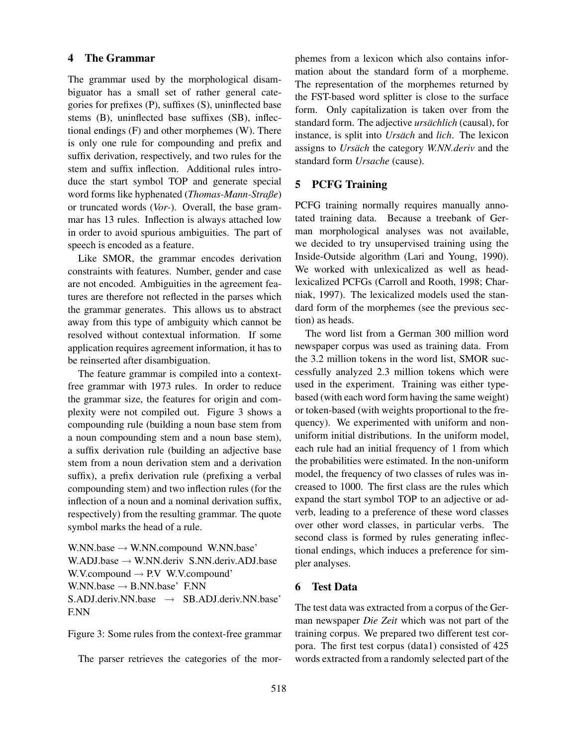## 4 The Grammar

The grammar used by the morphological disambiguator has a small set of rather general categories for prefixes (P), suffixes (S), uninflected base stems (B), uninflected base suffixes (SB), inflectional endings (F) and other morphemes (W). There is only one rule for compounding and prefix and suffix derivation, respectively, and two rules for the stem and suffix inflection. Additional rules introduce the start symbol TOP and generate special word forms like hyphenated (*Thomas-Mann-Straße*) or truncated words (*Vor-*). Overall, the base grammar has 13 rules. Inflection is always attached low in order to avoid spurious ambiguities. The part of speech is encoded as a feature.

Like SMOR, the grammar encodes derivation constraints with features. Number, gender and case are not encoded. Ambiguities in the agreement features are therefore not reflected in the parses which the grammar generates. This allows us to abstract away from this type of ambiguity which cannot be resolved without contextual information. If some application requires agreement information, it has to be reinserted after disambiguation.

The feature grammar is compiled into a contextfree grammar with 1973 rules. In order to reduce the grammar size, the features for origin and complexity were not compiled out. Figure 3 shows a compounding rule (building a noun base stem from a noun compounding stem and a noun base stem), a suffix derivation rule (building an adjective base stem from a noun derivation stem and a derivation suffix), a prefix derivation rule (prefixing a verbal compounding stem) and two inflection rules (for the inflection of a noun and a nominal derivation suffix, respectively) from the resulting grammar. The quote symbol marks the head of a rule.

W.NN.base  $\rightarrow$  W.NN.compound W.NN.base' W.ADJ.base → W.NN.deriv S.NN.deriv.ADJ.base W.V.compound  $\rightarrow$  P.V W.V.compound' W.NN.base  $\rightarrow$  B.NN.base' F.NN  $S. ADJ.$ deriv.NN.base  $\rightarrow$  SB.ADJ.deriv.NN.base' F.NN

Figure 3: Some rules from the context-free grammar

The parser retrieves the categories of the mor-

phemes from a lexicon which also contains information about the standard form of a morpheme. The representation of the morphemes returned by the FST-based word splitter is close to the surface form. Only capitalization is taken over from the standard form. The adjective *ursächlich* (causal), for instance, is split into *Ursäch* and *lich*. The lexicon assigns to *Ursäch* the category *W.NN.deriv* and the standard form *Ursache* (cause).

#### 5 PCFG Training

PCFG training normally requires manually annotated training data. Because a treebank of German morphological analyses was not available, we decided to try unsupervised training using the Inside-Outside algorithm (Lari and Young, 1990). We worked with unlexicalized as well as headlexicalized PCFGs (Carroll and Rooth, 1998; Charniak, 1997). The lexicalized models used the standard form of the morphemes (see the previous section) as heads.

The word list from a German 300 million word newspaper corpus was used as training data. From the 3.2 million tokens in the word list, SMOR successfully analyzed 2.3 million tokens which were used in the experiment. Training was either typebased (with each word form having the same weight) or token-based (with weights proportional to the frequency). We experimented with uniform and nonuniform initial distributions. In the uniform model, each rule had an initial frequency of 1 from which the probabilities were estimated. In the non-uniform model, the frequency of two classes of rules was increased to 1000. The first class are the rules which expand the start symbol TOP to an adjective or adverb, leading to a preference of these word classes over other word classes, in particular verbs. The second class is formed by rules generating inflectional endings, which induces a preference for simpler analyses.

#### 6 Test Data

The test data was extracted from a corpus of the German newspaper *Die Zeit* which was not part of the training corpus. We prepared two different test corpora. The first test corpus (data1) consisted of 425 words extracted from a randomly selected part of the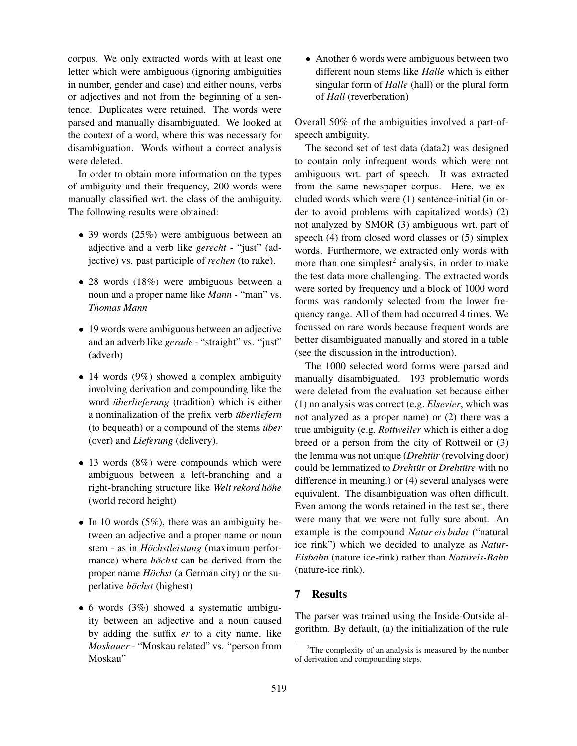corpus. We only extracted words with at least one letter which were ambiguous (ignoring ambiguities in number, gender and case) and either nouns, verbs or adjectives and not from the beginning of a sentence. Duplicates were retained. The words were parsed and manually disambiguated. We looked at the context of a word, where this was necessary for disambiguation. Words without a correct analysis were deleted.

In order to obtain more information on the types of ambiguity and their frequency, 200 words were manually classified wrt. the class of the ambiguity. The following results were obtained:

- 39 words (25%) were ambiguous between an adjective and a verb like *gerecht* - "just" (adjective) vs. past participle of *rechen* (to rake).
- 28 words (18%) were ambiguous between a noun and a proper name like *Mann* - "man" vs. *Thomas Mann*
- 19 words were ambiguous between an adjective and an adverb like *gerade* - "straight" vs. "just" (adverb)
- 14 words (9%) showed a complex ambiguity involving derivation and compounding like the word *überlieferung* (tradition) which is either a nominalization of the prefix verb *uberliefern ¨* (to bequeath) or a compound of the stems *über* (over) and *Lieferung* (delivery).
- 13 words (8%) were compounds which were ambiguous between a left-branching and a right-branching structure like *Welt rekord hohe ¨* (world record height)
- In 10 words  $(5\%)$ , there was an ambiguity between an adjective and a proper name or noun stem - as in *Höchstleistung* (maximum performance) where *hochst* can be derived from the proper name *Höchst* (a German city) or the superlative *höchst* (highest)
- 6 words (3%) showed a systematic ambiguity between an adjective and a noun caused by adding the suffix *er* to a city name, like *Moskauer* - "Moskau related" vs. "person from Moskau"

• Another 6 words were ambiguous between two different noun stems like *Halle* which is either singular form of *Halle* (hall) or the plural form of *Hall* (reverberation)

Overall 50% of the ambiguities involved a part-ofspeech ambiguity.

The second set of test data (data2) was designed to contain only infrequent words which were not ambiguous wrt. part of speech. It was extracted from the same newspaper corpus. Here, we excluded words which were (1) sentence-initial (in order to avoid problems with capitalized words) (2) not analyzed by SMOR (3) ambiguous wrt. part of speech (4) from closed word classes or (5) simplex words. Furthermore, we extracted only words with more than one simplest<sup>2</sup> analysis, in order to make the test data more challenging. The extracted words were sorted by frequency and a block of 1000 word forms was randomly selected from the lower frequency range. All of them had occurred 4 times. We focussed on rare words because frequent words are better disambiguated manually and stored in a table (see the discussion in the introduction).

The 1000 selected word forms were parsed and manually disambiguated. 193 problematic words were deleted from the evaluation set because either (1) no analysis was correct (e.g. *Elsevier*, which was not analyzed as a proper name) or (2) there was a true ambiguity (e.g. *Rottweiler* which is either a dog breed or a person from the city of Rottweil or (3) the lemma was not unique (*Drehtür* (revolving door) could be lemmatized to *Drehtur* or *Drehture* with no difference in meaning.) or (4) several analyses were equivalent. The disambiguation was often difficult. Even among the words retained in the test set, there were many that we were not fully sure about. An example is the compound *Natur eis bahn* ("natural ice rink") which we decided to analyze as *Natur-Eisbahn* (nature ice-rink) rather than *Natureis-Bahn* (nature-ice rink).

## 7 Results

The parser was trained using the Inside-Outside algorithm. By default, (a) the initialization of the rule

 $2$ The complexity of an analysis is measured by the number of derivation and compounding steps.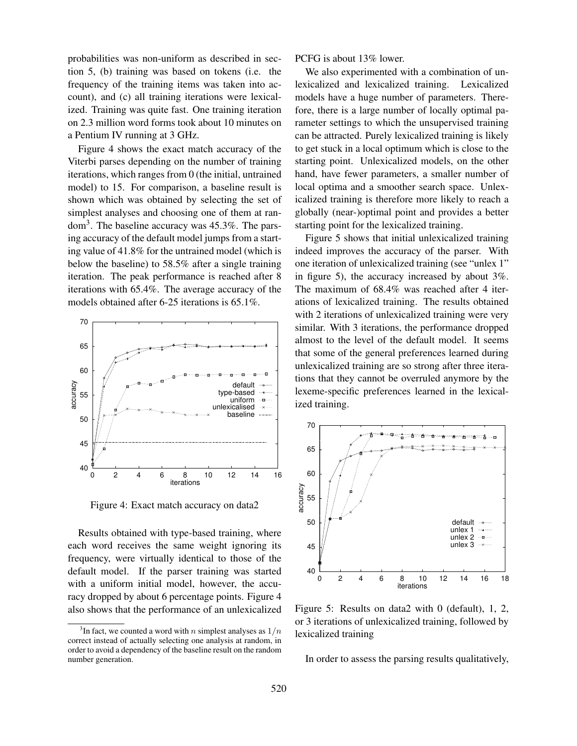probabilities was non-uniform as described in section 5, (b) training was based on tokens (i.e. the frequency of the training items was taken into account), and (c) all training iterations were lexicalized. Training was quite fast. One training iteration on 2.3 million word forms took about 10 minutes on a Pentium IV running at 3 GHz.

Figure 4 shows the exact match accuracy of the Viterbi parses depending on the number of training iterations, which ranges from 0 (the initial, untrained model) to 15. For comparison, a baseline result is shown which was obtained by selecting the set of simplest analyses and choosing one of them at random<sup>3</sup>. The baseline accuracy was 45.3%. The parsing accuracy of the default model jumps from a starting value of 41.8% for the untrained model (which is below the baseline) to 58.5% after a single training iteration. The peak performance is reached after 8 iterations with 65.4%. The average accuracy of the models obtained after 6-25 iterations is 65.1%.



Figure 4: Exact match accuracy on data2

Results obtained with type-based training, where each word receives the same weight ignoring its frequency, were virtually identical to those of the default model. If the parser training was started with a uniform initial model, however, the accuracy dropped by about 6 percentage points. Figure 4 also shows that the performance of an unlexicalized PCFG is about 13% lower.

We also experimented with a combination of unlexicalized and lexicalized training. Lexicalized models have a huge number of parameters. Therefore, there is a large number of locally optimal parameter settings to which the unsupervised training can be attracted. Purely lexicalized training is likely to get stuck in a local optimum which is close to the starting point. Unlexicalized models, on the other hand, have fewer parameters, a smaller number of local optima and a smoother search space. Unlexicalized training is therefore more likely to reach a globally (near-)optimal point and provides a better starting point for the lexicalized training.

Figure 5 shows that initial unlexicalized training indeed improves the accuracy of the parser. With one iteration of unlexicalized training (see "unlex 1" in figure 5), the accuracy increased by about 3%. The maximum of 68.4% was reached after 4 iterations of lexicalized training. The results obtained with 2 iterations of unlexicalized training were very similar. With 3 iterations, the performance dropped almost to the level of the default model. It seems that some of the general preferences learned during unlexicalized training are so strong after three iterations that they cannot be overruled anymore by the lexeme-specific preferences learned in the lexicalized training.



Figure 5: Results on data2 with 0 (default), 1, 2, or 3 iterations of unlexicalized training, followed by lexicalized training

In order to assess the parsing results qualitatively,

<sup>&</sup>lt;sup>3</sup>In fact, we counted a word with *n* simplest analyses as  $1/n$ correct instead of actually selecting one analysis at random, in order to avoid a dependency of the baseline result on the random number generation.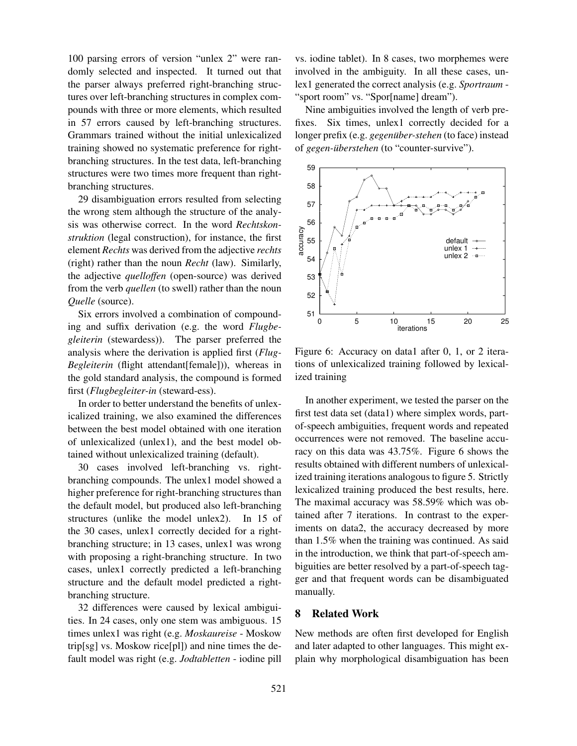100 parsing errors of version "unlex 2" were randomly selected and inspected. It turned out that the parser always preferred right-branching structures over left-branching structures in complex compounds with three or more elements, which resulted in 57 errors caused by left-branching structures. Grammars trained without the initial unlexicalized training showed no systematic preference for rightbranching structures. In the test data, left-branching structures were two times more frequent than rightbranching structures.

29 disambiguation errors resulted from selecting the wrong stem although the structure of the analysis was otherwise correct. In the word *Rechtskonstruktion* (legal construction), for instance, the first element *Rechts* was derived from the adjective *rechts* (right) rather than the noun *Recht* (law). Similarly, the adjective *quelloffen* (open-source) was derived from the verb *quellen* (to swell) rather than the noun *Quelle* (source).

Six errors involved a combination of compounding and suffix derivation (e.g. the word *Flugbegleiterin* (stewardess)). The parser preferred the analysis where the derivation is applied first (*Flug-Begleiterin* (flight attendant[female])), whereas in the gold standard analysis, the compound is formed first (*Flugbegleiter-in* (steward-ess).

In order to better understand the benefits of unlexicalized training, we also examined the differences between the best model obtained with one iteration of unlexicalized (unlex1), and the best model obtained without unlexicalized training (default).

30 cases involved left-branching vs. rightbranching compounds. The unlex1 model showed a higher preference for right-branching structures than the default model, but produced also left-branching structures (unlike the model unlex2). In 15 of the 30 cases, unlex1 correctly decided for a rightbranching structure; in 13 cases, unlex1 was wrong with proposing a right-branching structure. In two cases, unlex1 correctly predicted a left-branching structure and the default model predicted a rightbranching structure.

32 differences were caused by lexical ambiguities. In 24 cases, only one stem was ambiguous. 15 times unlex1 was right (e.g. *Moskaureise* - Moskow trip[sg] vs. Moskow rice[pl]) and nine times the default model was right (e.g. *Jodtabletten* - iodine pill vs. iodine tablet). In 8 cases, two morphemes were involved in the ambiguity. In all these cases, unlex1 generated the correct analysis (e.g. *Sportraum* - "sport room" vs. "Spor[name] dream").

Nine ambiguities involved the length of verb prefixes. Six times, unlex1 correctly decided for a longer prefix (e.g. *gegenüber-stehen* (to face) instead of *gegen-überstehen* (to "counter-survive").



Figure 6: Accuracy on data1 after 0, 1, or 2 iterations of unlexicalized training followed by lexicalized training

In another experiment, we tested the parser on the first test data set (data1) where simplex words, partof-speech ambiguities, frequent words and repeated occurrences were not removed. The baseline accuracy on this data was 43.75%. Figure 6 shows the results obtained with different numbers of unlexicalized training iterations analogous to figure 5. Strictly lexicalized training produced the best results, here. The maximal accuracy was 58.59% which was obtained after 7 iterations. In contrast to the experiments on data2, the accuracy decreased by more than 1.5% when the training was continued. As said in the introduction, we think that part-of-speech ambiguities are better resolved by a part-of-speech tagger and that frequent words can be disambiguated manually.

#### 8 Related Work

New methods are often first developed for English and later adapted to other languages. This might explain why morphological disambiguation has been